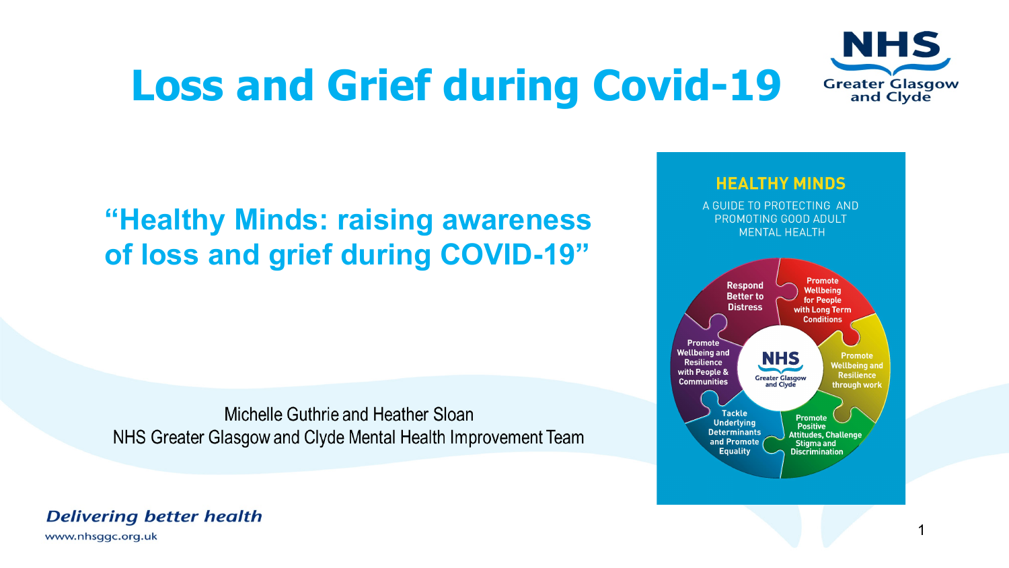# **Loss and Grief during Covid-19**



### **"Healthy Minds: raising awareness of loss and grief during COVID-19"**

Michelle Guthrie and Heather Sloan NHS Greater Glasgow and Clyde Mental Health Improvement Team

#### **HEALTHY MINDS**

A GUIDE TO PROTECTING AND PROMOTING GOOD ADULT **MENTAL HEALTH** 



**Delivering better health** 

www.nhsggc.org.uk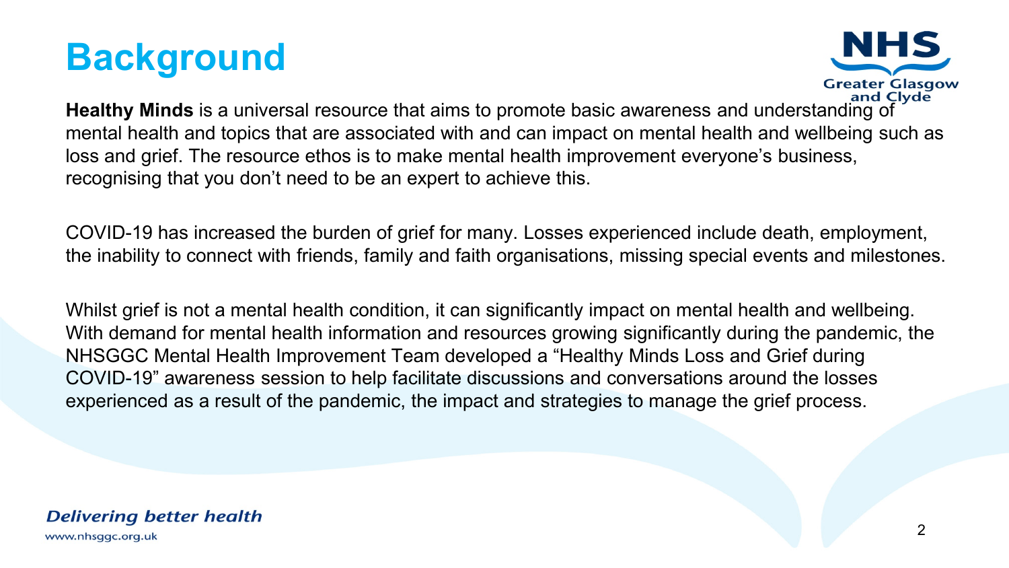



**Healthy Minds** is a universal resource that aims to promote basic awareness and understanding of mental health and topics that are associated with and can impact on mental health and wellbeing such as loss and grief. The resource ethos is to make mental health improvement everyone's business, recognising that you don't need to be an expert to achieve this.

COVID-19 has increased the burden of grief for many. Losses experienced include death, employment, the inability to connect with friends, family and faith organisations, missing special events and milestones.

Whilst grief is not a mental health condition, it can significantly impact on mental health and wellbeing. With demand for mental health information and resources growing significantly during the pandemic, the NHSGGC Mental Health Improvement Team developed a "Healthy Minds Loss and Grief during COVID-19" awareness session to help facilitate discussions and conversations around the losses experienced as a result of the pandemic, the impact and strategies to manage the grief process.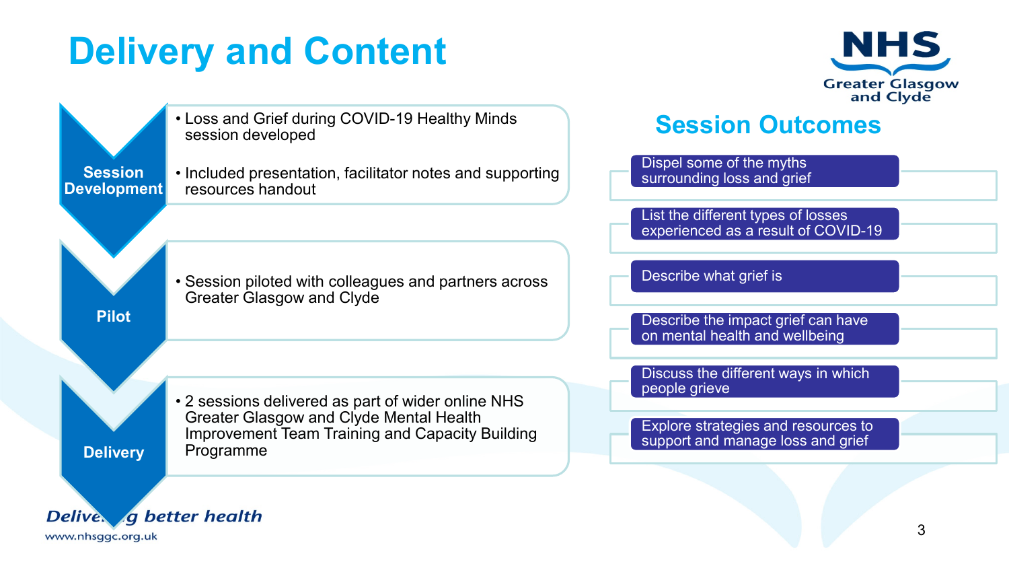## **Delivery and Content**



• Loss and Grief during COVID-19 Healthy Minds **Session Outcomes**session developed Dispel some of the myths **Session**  • Included presentation, facilitator notes and supporting surrounding loss and grief **Development** resources handout List the different types of losses experienced as a result of COVID-19 Describe what grief is • Session piloted with colleagues and partners across Greater Glasgow and Clyde **Pilot**  Describe the impact grief can have on mental health and wellbeing Discuss the different ways in which people grieve • 2 sessions delivered as part of wider online NHS Greater Glasgow and Clyde Mental Health Explore strategies and resources to Improvement Team Training and Capacity Building support and manage loss and grief Programme **Delivery** Delive, a better health